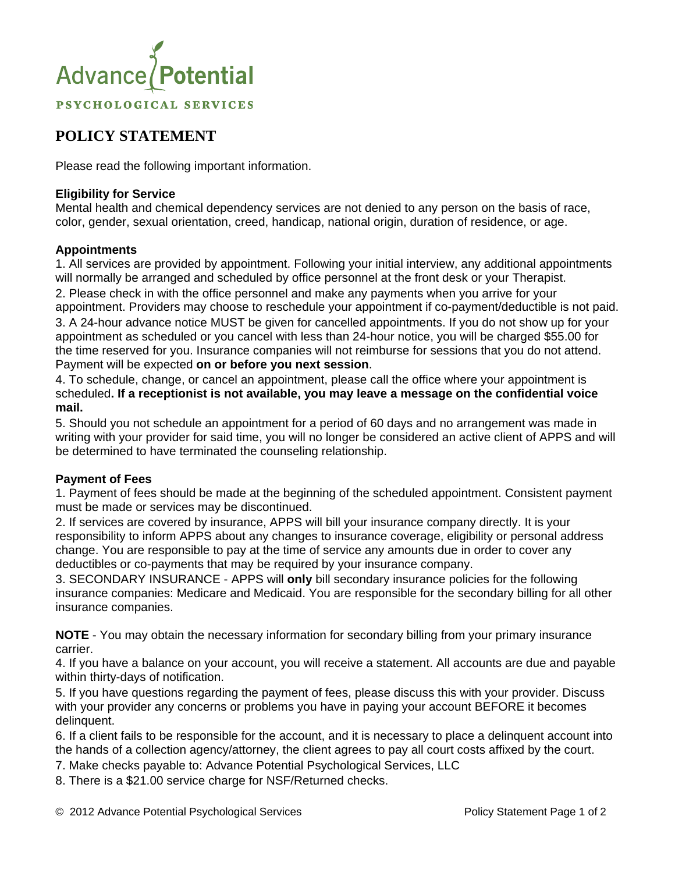

# **POLICY STATEMENT**

Please read the following important information.

# **Eligibility for Service**

Mental health and chemical dependency services are not denied to any person on the basis of race, color, gender, sexual orientation, creed, handicap, national origin, duration of residence, or age.

# **Appointments**

1. All services are provided by appointment. Following your initial interview, any additional appointments will normally be arranged and scheduled by office personnel at the front desk or your Therapist. 2. Please check in with the office personnel and make any payments when you arrive for your

appointment. Providers may choose to reschedule your appointment if co-payment/deductible is not paid. 3. A 24-hour advance notice MUST be given for cancelled appointments. If you do not show up for your appointment as scheduled or you cancel with less than 24-hour notice, you will be charged \$55.00 for the time reserved for you. Insurance companies will not reimburse for sessions that you do not attend. Payment will be expected **on or before you next session**.

4. To schedule, change, or cancel an appointment, please call the office where your appointment is scheduled**. If a receptionist is not available, you may leave a message on the confidential voice mail.** 

5. Should you not schedule an appointment for a period of 60 days and no arrangement was made in writing with your provider for said time, you will no longer be considered an active client of APPS and will be determined to have terminated the counseling relationship.

### **Payment of Fees**

1. Payment of fees should be made at the beginning of the scheduled appointment. Consistent payment must be made or services may be discontinued.

2. If services are covered by insurance, APPS will bill your insurance company directly. It is your responsibility to inform APPS about any changes to insurance coverage, eligibility or personal address change. You are responsible to pay at the time of service any amounts due in order to cover any deductibles or co-payments that may be required by your insurance company.

3. SECONDARY INSURANCE - APPS will **only** bill secondary insurance policies for the following insurance companies: Medicare and Medicaid. You are responsible for the secondary billing for all other insurance companies.

**NOTE** - You may obtain the necessary information for secondary billing from your primary insurance carrier.

4. If you have a balance on your account, you will receive a statement. All accounts are due and payable within thirty-days of notification.

5. If you have questions regarding the payment of fees, please discuss this with your provider. Discuss with your provider any concerns or problems you have in paying your account BEFORE it becomes delinquent.

6. If a client fails to be responsible for the account, and it is necessary to place a delinquent account into the hands of a collection agency/attorney, the client agrees to pay all court costs affixed by the court.

7. Make checks payable to: Advance Potential Psychological Services, LLC

8. There is a \$21.00 service charge for NSF/Returned checks.